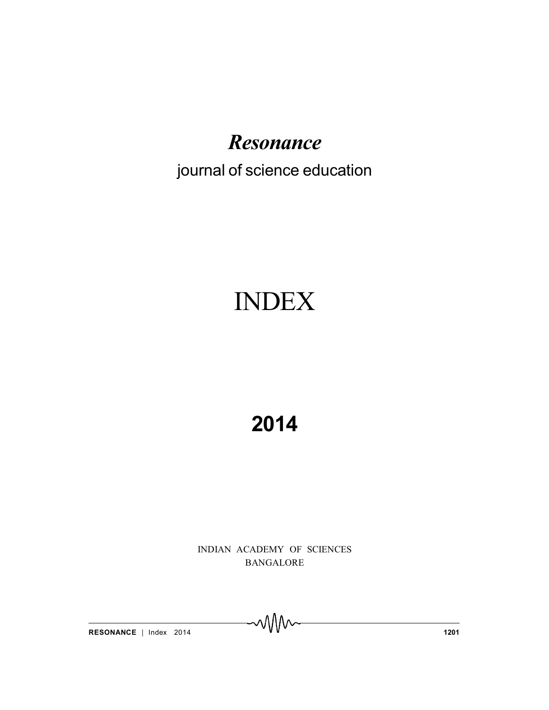### *Resonance*

### journal of science education

# INDEX

## **2014**

INDIAN ACADEMY OF SCIENCES BANGALORE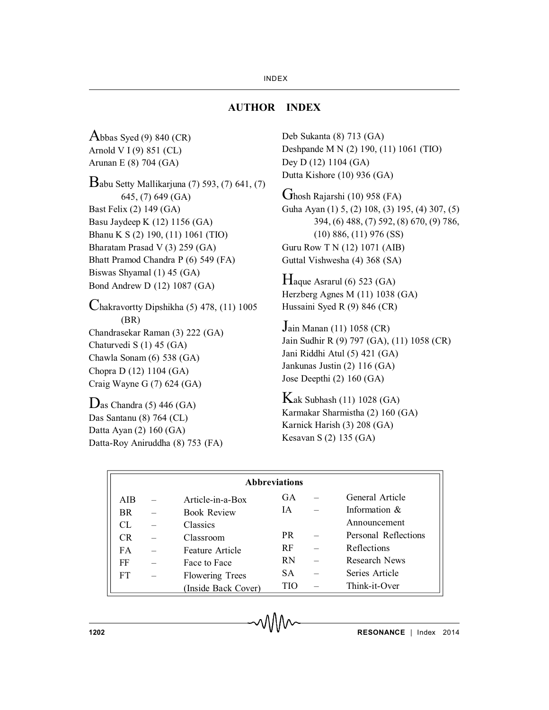#### **AUTHOR INDEX**

Abbas Syed  $(9)$  840 (CR) Arnold V I (9) 851 (CL) Arunan E (8) 704 (GA) Babu Setty Mallikarjuna (7) 593, (7) 641, (7) 645, (7) 649 (GA) Bast Felix (2) 149 (GA) Basu Jaydeep K (12) 1156 (GA) Bhanu K S (2) 190, (11) 1061 (TIO) Bharatam Prasad V (3) 259 (GA) Bhatt Pramod Chandra P (6) 549 (FA) Biswas Shyamal (1) 45 (GA) Bond Andrew D (12) 1087 (GA) Chakravortty Dipshikha (5) 478, (11) 1005 (BR) Chandrasekar Raman (3) 222 (GA) Chaturvedi S (1) 45 (GA) Chawla Sonam (6) 538 (GA) Chopra D (12) 1104 (GA) Craig Wayne G (7) 624 (GA)

 $D$ as Chandra (5) 446 (GA) Das Santanu (8) 764 (CL) Datta Ayan (2) 160 (GA) Datta-Roy Aniruddha (8) 753 (FA) Deb Sukanta (8) 713 (GA) Deshpande M N (2) 190, (11) 1061 (TIO) Dey D (12) 1104 (GA) Dutta Kishore (10) 936 (GA)

Ghosh Rajarshi (10) 958 (FA) Guha Ayan (1) 5, (2) 108, (3) 195, (4) 307, (5) 394, (6) 488, (7) 592, (8) 670, (9) 786, (10) 886, (11) 976 (SS) Guru Row T N (12) 1071 (AIB) Guttal Vishwesha (4) 368 (SA)

 $H$ aque Asrarul (6) 523 (GA) Herzberg Agnes M (11) 1038 (GA) Hussaini Syed R (9) 846 (CR)

Jain Manan (11) 1058 (CR) Jain Sudhir R (9) 797 (GA), (11) 1058 (CR) Jani Riddhi Atul (5) 421 (GA) Jankunas Justin (2) 116 (GA) Jose Deepthi (2) 160 (GA)

 $K$ ak Subhash (11) 1028 (GA) Karmakar Sharmistha (2) 160 (GA) Karnick Harish (3) 208 (GA) Kesavan S (2) 135 (GA)

| <b>Abbreviations</b> |  |                        |            |  |                      |
|----------------------|--|------------------------|------------|--|----------------------|
| <b>AIB</b>           |  | Article-in-a-Box       | GA         |  | General Article      |
| BR.                  |  | <b>Book Review</b>     | ΙA.        |  | Information $\&$     |
| CL                   |  | Classics               |            |  | Announcement         |
| CR                   |  | Classroom              | <b>PR</b>  |  | Personal Reflections |
| FA.                  |  | Feature Article        | RF         |  | Reflections          |
| FF                   |  | Face to Face           | <b>RN</b>  |  | <b>Research News</b> |
| FT.                  |  | <b>Flowering Trees</b> | SA.        |  | Series Article       |
|                      |  | (Inside Back Cover)    | <b>TIO</b> |  | Think-it-Over        |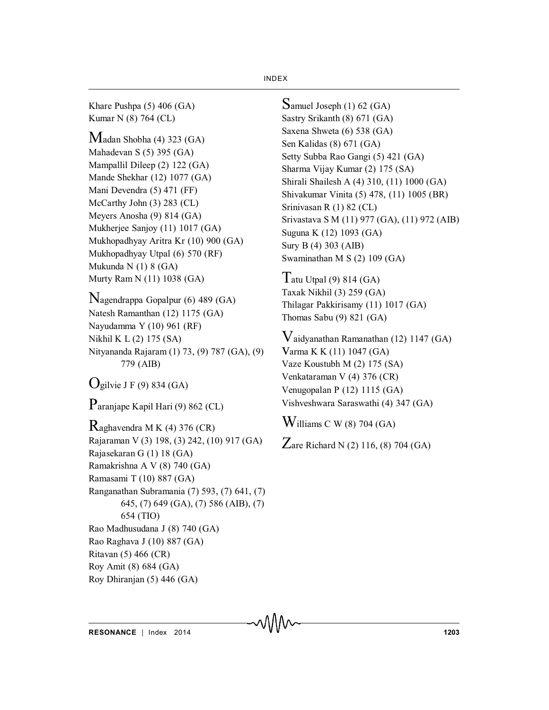Khare Pushpa (5) 406 (GA) Kumar N (8) 764 (CL)

Madan Shobha (4) 323 (GA) Mahadevan S (5) 395 (GA) Mampallil Dileep (2) 122 (GA) Mande Shekhar (12) 1077 (GA) Mani Devendra (5) 471 (FF) McCarthy John (3) 283 (CL) Meyers Anosha (9) 814 (GA) Mukherjee Sanjoy (11) 1017 (GA) Mukhopadhyay Aritra Kr (10) 900 (GA) Mukhopadhyay Utpal (6) 570 (RF) Mukunda N (1) 8 (GA) Murty Ram N (11) 1038 (GA)

Nagendrappa Gopalpur (6) 489 (GA) Natesh Ramanthan (12) 1175 (GA) Nayudamma Y (10) 961 (RF) Nikhil K L (2) 175 (SA) Nityananda Rajaram (1) 73, (9) 787 (GA), (9) 779 (AIB)

 $O_{\text{gilvie}}$  J F (9) 834 (GA)

Paranjape Kapil Hari (9) 862 (CL)

Raghavendra M K (4) 376 (CR) Rajaraman V (3) 198, (3) 242, (10) 917 (GA) Rajasekaran G (1) 18 (GA) Ramakrishna A V (8) 740 (GA) Ramasami T (10) 887 (GA) Ranganathan Subramania (7) 593, (7) 641, (7) 645, (7) 649 (GA), (7) 586 (AIB), (7) 654 (TIO) Rao Madhusudana J (8) 740 (GA) Rao Raghava J (10) 887 (GA) Ritavan (5) 466 (CR) Roy Amit (8) 684 (GA) Roy Dhiranjan (5) 446 (GA)

Samuel Joseph (1) 62 (GA) Sastry Srikanth (8) 671 (GA) Saxena Shweta (6) 538 (GA) Sen Kalidas (8) 671 (GA) Setty Subba Rao Gangi (5) 421 (GA) Sharma Vijay Kumar (2) 175 (SA) Shirali Shailesh A (4) 310, (11) 1000 (GA) Shivakumar Vinita (5) 478, (11) 1005 (BR) Srinivasan R (1) 82 (CL) Srivastava S M (11) 977 (GA), (11) 972 (AIB) Suguna K (12) 1093 (GA) Sury B (4) 303 (AIB) Swaminathan M S (2) 109 (GA)

Tatu Utpal  $(9)$  814  $(GA)$ Taxak Nikhil (3) 259 (GA) Thilagar Pakkirisamy (11) 1017 (GA) Thomas Sabu (9) 821 (GA)

Vaidyanathan Ramanathan (12) 1147 (GA) varma K K (11) 1047 (GA) Vaze Koustubh M (2) 175 (SA) Venkataraman V (4) 376 (CR) Venugopalan P (12) 1115 (GA) Vishveshwara Saraswathi (4) 347 (GA)

 $W$ illiams C W (8) 704 (GA)

Zare Richard N  $(2)$  116,  $(8)$  704  $(GA)$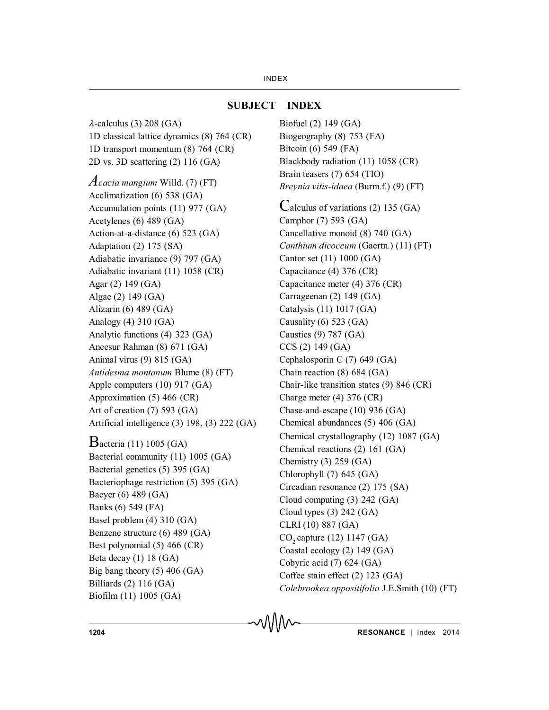#### **SUBJECT INDEX**

 $\lambda$ -calculus (3) 208 (GA) 1D classical lattice dynamics (8) 764 (CR) 1D transport momentum (8) 764 (CR) 2D vs. 3D scattering (2) 116 (GA) *Acacia mangium* Willd. (7) (FT) Acclimatization (6) 538 (GA) Accumulation points (11) 977 (GA) Acetylenes (6) 489 (GA) Action-at-a-distance (6) 523 (GA) Adaptation (2) 175 (SA) Adiabatic invariance (9) 797 (GA) Adiabatic invariant (11) 1058 (CR) Agar (2) 149 (GA) Algae (2) 149 (GA) Alizarin (6) 489 (GA) Analogy (4) 310 (GA) Analytic functions (4) 323 (GA) Aneesur Rahman (8) 671 (GA) Animal virus (9) 815 (GA) *Antidesma montanum* Blume (8) (FT) Apple computers (10) 917 (GA) Approximation (5) 466 (CR) Art of creation (7) 593 (GA) Artificial intelligence (3) 198, (3) 222 (GA) Bacteria (11) 1005 (GA) Bacterial community (11) 1005 (GA) Bacterial genetics (5) 395 (GA) Bacteriophage restriction (5) 395 (GA) Baeyer (6) 489 (GA) Banks (6) 549 (FA) Basel problem (4) 310 (GA) Benzene structure (6) 489 (GA) Best polynomial (5) 466 (CR) Beta decay (1) 18 (GA) Big bang theory (5) 406 (GA) Billiards (2) 116 (GA) Biofilm (11) 1005 (GA)

**SUBJECT INDEX** Biofuel (2) 149 (GA) Biogeography (8) 753 (FA) Bitcoin (6) 549 (FA) Blackbody radiation (11) 1058 (CR) Brain teasers (7) 654 (TIO) *Breynia vitis-idaea* (Burm.f.) (9) (FT) Calculus of variations (2) 135 (GA) Camphor (7) 593 (GA) Cancellative monoid (8) 740 (GA) *Canthium dicoccum* (Gaertn.) (11) (FT) Cantor set (11) 1000 (GA) Capacitance (4) 376 (CR) Capacitance meter (4) 376 (CR) Carrageenan (2) 149 (GA) Catalysis (11) 1017 (GA) Causality (6) 523 (GA) Caustics (9) 787 (GA) CCS (2) 149 (GA) Cephalosporin C (7) 649 (GA) Chain reaction (8) 684 (GA) Chair-like transition states (9) 846 (CR) Charge meter (4) 376 (CR) Chase-and-escape (10) 936 (GA) Chemical abundances (5) 406 (GA) Chemical crystallography (12) 1087 (GA) Chemical reactions (2) 161 (GA) Chemistry (3) 259 (GA) Chlorophyll (7) 645 (GA) Circadian resonance (2) 175 (SA) Cloud computing (3) 242 (GA) Cloud types (3) 242 (GA) CLRI (10) 887 (GA) CO<sub>2</sub> capture (12) 1147 (GA) Coastal ecology (2) 149 (GA) Cobyric acid (7) 624 (GA) Coffee stain effect (2) 123 (GA) *Colebrookea oppositifolia* J.E.Smith (10) (FT)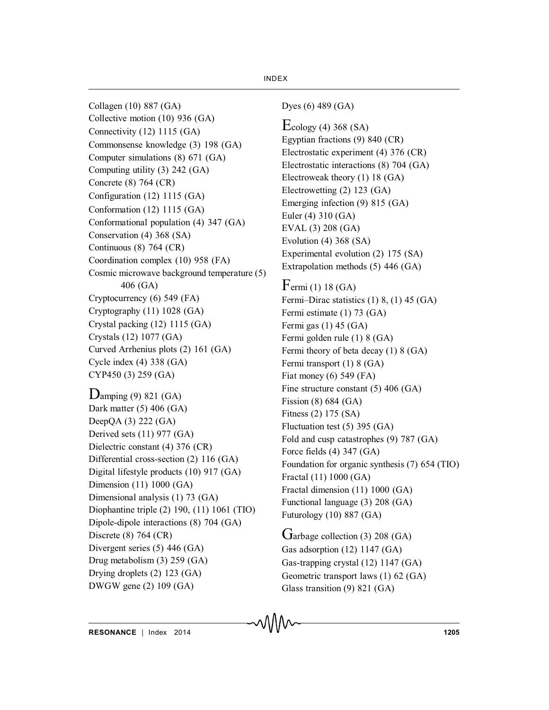Collagen (10) 887 (GA) Collective motion (10) 936 (GA) Connectivity (12) 1115 (GA) Commonsense knowledge (3) 198 (GA) Computer simulations (8) 671 (GA) Computing utility (3) 242 (GA) Concrete (8) 764 (CR) Configuration (12) 1115 (GA) Conformation (12) 1115 (GA) Conformational population (4) 347 (GA) Conservation (4) 368 (SA) Continuous (8) 764 (CR) Coordination complex (10) 958 (FA) Cosmic microwave background temperature (5) 406 (GA) Cryptocurrency (6) 549 (FA) Cryptography (11) 1028 (GA) Crystal packing (12) 1115 (GA) Crystals (12) 1077 (GA) Curved Arrhenius plots (2) 161 (GA) Cycle index (4) 338 (GA) CYP450 (3) 259 (GA)

 $D$ amping (9) 821 (GA) Dark matter (5) 406 (GA) DeepQA (3) 222 (GA) Derived sets (11) 977 (GA) Dielectric constant (4) 376 (CR) Differential cross-section (2) 116 (GA) Digital lifestyle products (10) 917 (GA) Dimension (11) 1000 (GA) Dimensional analysis (1) 73 (GA) Diophantine triple (2) 190, (11) 1061 (TIO) Dipole-dipole interactions (8) 704 (GA) Discrete (8) 764 (CR) Divergent series (5) 446 (GA) Drug metabolism (3) 259 (GA) Drying droplets (2) 123 (GA) DWGW gene (2) 109 (GA)

Dyes (6) 489 (GA)

 $E_{\text{cology}}$  (4) 368 (SA) Egyptian fractions (9) 840 (CR) Electrostatic experiment (4) 376 (CR) Electrostatic interactions (8) 704 (GA) Electroweak theory (1) 18 (GA) Electrowetting (2) 123 (GA) Emerging infection (9) 815 (GA) Euler (4) 310 (GA) EVAL (3) 208 (GA) Evolution (4) 368 (SA) Experimental evolution (2) 175 (SA) Extrapolation methods (5) 446 (GA)

 $F$ ermi (1) 18 (GA) Fermi–Dirac statistics (1) 8, (1) 45 (GA) Fermi estimate (1) 73 (GA) Fermi gas (1) 45 (GA) Fermi golden rule (1) 8 (GA) Fermi theory of beta decay (1) 8 (GA) Fermi transport (1) 8 (GA) Fiat money (6) 549 (FA) Fine structure constant (5) 406 (GA) Fission (8) 684 (GA) Fitness (2) 175 (SA) Fluctuation test (5) 395 (GA) Fold and cusp catastrophes (9) 787 (GA) Force fields (4) 347 (GA) Foundation for organic synthesis (7) 654 (TIO) Fractal (11) 1000 (GA) Fractal dimension (11) 1000 (GA) Functional language (3) 208 (GA) Futurology (10) 887 (GA)

Garbage collection (3) 208 (GA) Gas adsorption (12) 1147 (GA) Gas-trapping crystal (12) 1147 (GA) Geometric transport laws (1) 62 (GA) Glass transition (9) 821 (GA)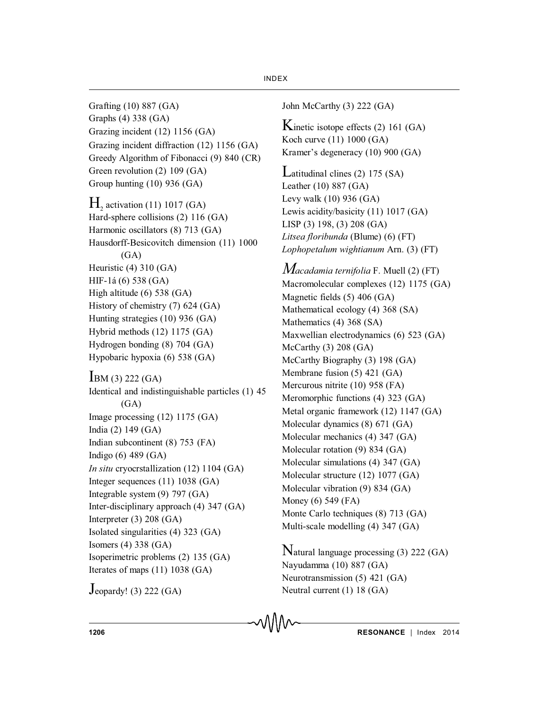Grafting (10) 887 (GA) Graphs (4) 338 (GA) Grazing incident (12) 1156 (GA) Grazing incident diffraction (12) 1156 (GA) Greedy Algorithm of Fibonacci (9) 840 (CR) Green revolution (2) 109 (GA) Group hunting (10) 936 (GA)  $H<sub>2</sub>$  activation (11) 1017 (GA) Hard-sphere collisions (2) 116 (GA) Harmonic oscillators (8) 713 (GA) Hausdorff-Besicovitch dimension (11) 1000  $(GA)$ Heuristic (4) 310 (GA) HIF-1á (6) 538 (GA) High altitude (6) 538 (GA) History of chemistry (7) 624 (GA) Hunting strategies (10) 936 (GA) Hybrid methods (12) 1175 (GA) Hydrogen bonding (8) 704 (GA) Hypobaric hypoxia (6) 538 (GA)  $BM (3) 222 (GA)$ Identical and indistinguishable particles (1) 45  $(GA)$ Image processing (12) 1175 (GA) India (2) 149 (GA) Indian subcontinent (8) 753 (FA) Indigo (6) 489 (GA) *In situ* cryocrstallization (12) 1104 (GA) Integer sequences (11) 1038 (GA) Integrable system (9) 797 (GA) Inter-disciplinary approach (4) 347 (GA) Interpreter (3) 208 (GA) Isolated singularities (4) 323 (GA) Isomers (4) 338 (GA) Isoperimetric problems (2) 135 (GA) Iterates of maps (11) 1038 (GA)

Jeopardy! (3) 222 (GA)

John McCarthy (3) 222 (GA)

Kinetic isotope effects  $(2)$  161  $(GA)$ Koch curve (11) 1000 (GA) Kramer's degeneracy (10) 900 (GA)

Latitudinal clines (2) 175 (SA) Leather (10) 887 (GA) Levy walk (10) 936 (GA) Lewis acidity/basicity (11) 1017 (GA) LISP (3) 198, (3) 208 (GA) *Litsea floribunda* (Blume) (6) (FT) *Lophopetalum wightianum* Arn. (3) (FT)

*Macadamia ternifolia* F. Muell (2) (FT) Macromolecular complexes (12) 1175 (GA) Magnetic fields (5) 406 (GA) Mathematical ecology (4) 368 (SA) Mathematics (4) 368 (SA) Maxwellian electrodynamics (6) 523 (GA) McCarthy (3) 208 (GA) McCarthy Biography (3) 198 (GA) Membrane fusion (5) 421 (GA) Mercurous nitrite (10) 958 (FA) Meromorphic functions (4) 323 (GA) Metal organic framework (12) 1147 (GA) Molecular dynamics (8) 671 (GA) Molecular mechanics (4) 347 (GA) Molecular rotation (9) 834 (GA) Molecular simulations (4) 347 (GA) Molecular structure (12) 1077 (GA) Molecular vibration (9) 834 (GA) Money (6) 549 (FA) Monte Carlo techniques (8) 713 (GA) Multi-scale modelling (4) 347 (GA)

Natural language processing (3) 222 (GA) Nayudamma (10) 887 (GA) Neurotransmission (5) 421 (GA) Neutral current (1) 18 (GA)

**1206 RESONANCE** | Index 2014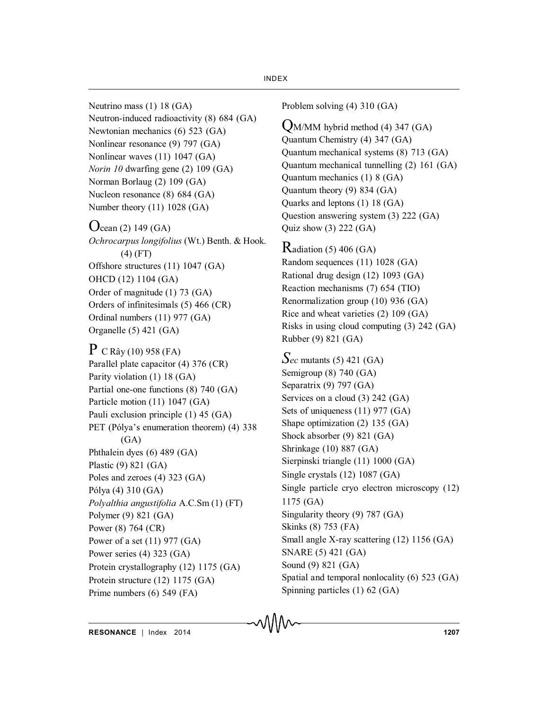- Neutrino mass (1) 18 (GA) Neutron-induced radioactivity (8) 684 (GA) Newtonian mechanics (6) 523 (GA) Nonlinear resonance (9) 797 (GA) Nonlinear waves (11) 1047 (GA) *Norin 10* dwarfing gene (2) 109 (GA) Norman Borlaug (2) 109 (GA) Nucleon resonance (8) 684 (GA) Number theory (11) 1028 (GA)
- $\rm O_{cean}$  (2) 149 (GA) *Ochrocarpus longifolius* (Wt.) Benth. & Hook. (4) (FT) Offshore structures (11) 1047 (GA) OHCD (12) 1104 (GA) Order of magnitude (1) 73 (GA) Orders of infinitesimals (5) 466 (CR) Ordinal numbers (11) 977 (GA) Organelle (5) 421 (GA)

 $P$  C Rây (10) 958 (FA) Parallel plate capacitor (4) 376 (CR) Parity violation (1) 18 (GA) Partial one-one functions (8) 740 (GA) Particle motion (11) 1047 (GA) Pauli exclusion principle (1) 45 (GA) PET (Pólya's enumeration theorem) (4) 338  $(GA)$ Phthalein dyes (6) 489 (GA) Plastic (9) 821 (GA) Poles and zeroes (4) 323 (GA) Pólya (4) 310 (GA) *Polyalthia angustifolia* A.C.Sm (1) (FT) Polymer (9) 821 (GA) Power (8) 764 (CR) Power of a set (11) 977 (GA) Power series (4) 323 (GA) Protein crystallography (12) 1175 (GA) Protein structure (12) 1175 (GA) Prime numbers (6) 549 (FA)

Problem solving (4) 310 (GA)

- QM/MM hybrid method (4) 347 (GA) Quantum Chemistry (4) 347 (GA) Quantum mechanical systems (8) 713 (GA) Quantum mechanical tunnelling (2) 161 (GA) Quantum mechanics (1) 8 (GA) Quantum theory (9) 834 (GA) Quarks and leptons (1) 18 (GA) Question answering system (3) 222 (GA) Quiz show (3) 222 (GA)
- $R$ adiation (5) 406 (GA) Random sequences (11) 1028 (GA) Rational drug design (12) 1093 (GA) Reaction mechanisms (7) 654 (TIO) Renormalization group (10) 936 (GA) Rice and wheat varieties (2) 109 (GA) Risks in using cloud computing (3) 242 (GA) Rubber (9) 821 (GA)
- *Sec* mutants (5) 421 (GA) Semigroup (8) 740 (GA) Separatrix (9) 797 (GA) Services on a cloud (3) 242 (GA) Sets of uniqueness (11) 977 (GA) Shape optimization (2) 135 (GA) Shock absorber (9) 821 (GA) Shrinkage (10) 887 (GA) Sierpinski triangle (11) 1000 (GA) Single crystals (12) 1087 (GA) Single particle cryo electron microscopy (12) 1175 (GA) Singularity theory (9) 787 (GA) Skinks (8) 753 (FA) Small angle X-ray scattering (12) 1156 (GA) SNARE (5) 421 (GA) Sound (9) 821 (GA) Spatial and temporal nonlocality (6) 523 (GA) Spinning particles (1) 62 (GA)